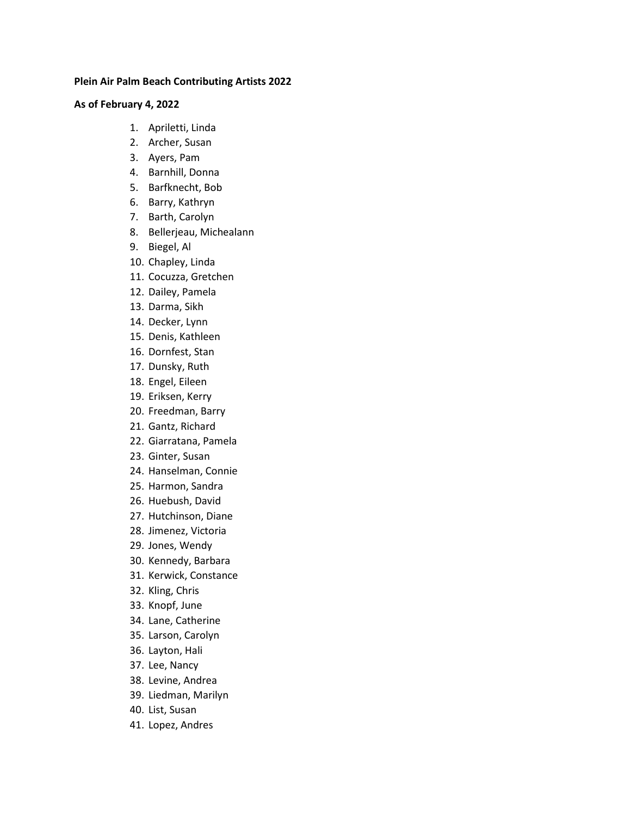## **Plein Air Palm Beach Contributing Artists 2022**

## **As of February 4, 2022**

- 1. Apriletti, Linda
- 2. Archer, Susan
- 3. Ayers, Pam
- 4. Barnhill, Donna
- 5. Barfknecht, Bob
- 6. Barry, Kathryn
- 7. Barth, Carolyn
- 8. Bellerjeau, Michealann
- 9. Biegel, Al
- 10. Chapley, Linda
- 11. Cocuzza, Gretchen
- 12. Dailey, Pamela
- 13. Darma, Sikh
- 14. Decker, Lynn
- 15. Denis, Kathleen
- 16. Dornfest, Stan
- 17. Dunsky, Ruth
- 18. Engel, Eileen
- 19. Eriksen, Kerry
- 20. Freedman, Barry
- 21. Gantz, Richard
- 22. Giarratana, Pamela
- 23. Ginter, Susan
- 24. Hanselman, Connie
- 25. Harmon, Sandra
- 26. Huebush, David
- 27. Hutchinson, Diane
- 28. Jimenez, Victoria
- 29. Jones, Wendy
- 30. Kennedy, Barbara
- 31. Kerwick, Constance
- 32. Kling, Chris
- 33. Knopf, June
- 34. Lane, Catherine
- 35. Larson, Carolyn
- 36. Layton, Hali
- 37. Lee, Nancy
- 38. Levine, Andrea
- 39. Liedman, Marilyn
- 40. List, Susan
- 41. Lopez, Andres